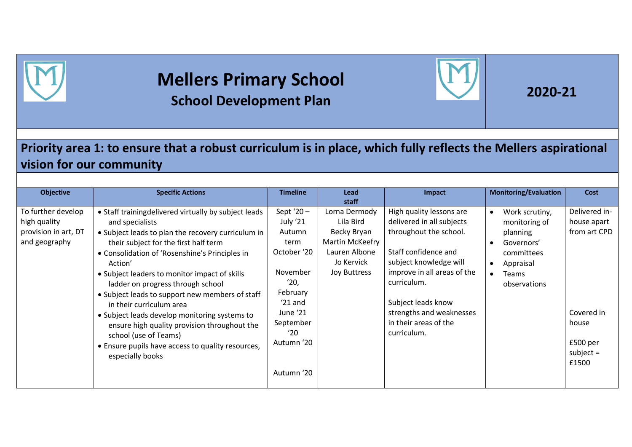

## **Mellers Primary School School Development Plan 1999 12020-21**



## **Priority area 1: to ensure that a robust curriculum is in place, which fully reflects the Mellers aspirational vision for our community**

| <b>Objective</b>                                                            | <b>Specific Actions</b>                                                                                                                                                                                                                                                                                                                                                                                                                                                                                                                                                                                     | <b>Timeline</b>                                                                                                                                                    | Lead<br>staff                                                                                               | Impact                                                                                                                                                                                                                                                                    | <b>Monitoring/Evaluation</b>                                                                                                      | <b>Cost</b>                                                                                             |
|-----------------------------------------------------------------------------|-------------------------------------------------------------------------------------------------------------------------------------------------------------------------------------------------------------------------------------------------------------------------------------------------------------------------------------------------------------------------------------------------------------------------------------------------------------------------------------------------------------------------------------------------------------------------------------------------------------|--------------------------------------------------------------------------------------------------------------------------------------------------------------------|-------------------------------------------------------------------------------------------------------------|---------------------------------------------------------------------------------------------------------------------------------------------------------------------------------------------------------------------------------------------------------------------------|-----------------------------------------------------------------------------------------------------------------------------------|---------------------------------------------------------------------------------------------------------|
| To further develop<br>high quality<br>provision in art, DT<br>and geography | • Staff trainingdelivered virtually by subject leads<br>and specialists<br>• Subject leads to plan the recovery curriculum in<br>their subject for the first half term<br>• Consolidation of 'Rosenshine's Principles in<br>Action'<br>• Subject leaders to monitor impact of skills<br>ladder on progress through school<br>• Subject leads to support new members of staff<br>in their currlculum area<br>• Subject leads develop monitoring systems to<br>ensure high quality provision throughout the<br>school (use of Teams)<br>• Ensure pupils have access to quality resources,<br>especially books | Sept '20 $-$<br>July '21<br>Autumn<br>term<br>October '20<br>November<br>'20,<br>February<br>$'21$ and<br>June '21<br>September<br>'20<br>Autumn '20<br>Autumn '20 | Lorna Dermody<br>Lila Bird<br>Becky Bryan<br>Martin McKeefry<br>Lauren Albone<br>Jo Kervick<br>Joy Buttress | High quality lessons are<br>delivered in all subjects<br>throughout the school.<br>Staff confidence and<br>subject knowledge will<br>improve in all areas of the<br>curriculum.<br>Subject leads know<br>strengths and weaknesses<br>in their areas of the<br>curriculum. | Work scrutiny,<br>monitoring of<br>planning<br>Governors'<br>committees<br>Appraisal<br><b>Teams</b><br>$\bullet$<br>observations | Delivered in-<br>house apart<br>from art CPD<br>Covered in<br>house<br>£500 per<br>subject $=$<br>£1500 |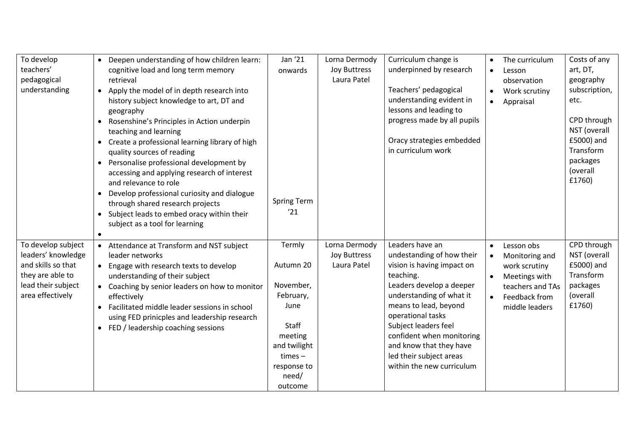| To develop         | $\bullet$ | Deepen understanding of how children learn:    | Jan '21            | Lorna Dermody | Curriculum change is        | $\bullet$ | The curriculum   | Costs of any  |
|--------------------|-----------|------------------------------------------------|--------------------|---------------|-----------------------------|-----------|------------------|---------------|
| teachers'          |           | cognitive load and long term memory            | onwards            | Joy Buttress  | underpinned by research     | $\bullet$ | Lesson           | art, DT,      |
| pedagogical        |           | retrieval                                      |                    | Laura Patel   |                             |           | observation      | geography     |
| understanding      | $\bullet$ | Apply the model of in depth research into      |                    |               | Teachers' pedagogical       | $\bullet$ | Work scrutiny    | subscription, |
|                    |           | history subject knowledge to art, DT and       |                    |               | understanding evident in    | $\bullet$ | Appraisal        | etc.          |
|                    |           | geography                                      |                    |               | lessons and leading to      |           |                  |               |
|                    | $\bullet$ | Rosenshine's Principles in Action underpin     |                    |               | progress made by all pupils |           |                  | CPD through   |
|                    |           | teaching and learning                          |                    |               |                             |           |                  | NST (overall  |
|                    | $\bullet$ | Create a professional learning library of high |                    |               | Oracy strategies embedded   |           |                  | £5000) and    |
|                    |           | quality sources of reading                     |                    |               | in curriculum work          |           |                  | Transform     |
|                    |           | • Personalise professional development by      |                    |               |                             |           |                  | packages      |
|                    |           | accessing and applying research of interest    |                    |               |                             |           |                  | (overall      |
|                    |           | and relevance to role                          |                    |               |                             |           |                  | £1760)        |
|                    | $\bullet$ | Develop professional curiosity and dialogue    |                    |               |                             |           |                  |               |
|                    |           | through shared research projects               | <b>Spring Term</b> |               |                             |           |                  |               |
|                    | $\bullet$ | Subject leads to embed oracy within their      | '21                |               |                             |           |                  |               |
|                    |           | subject as a tool for learning                 |                    |               |                             |           |                  |               |
|                    |           |                                                |                    |               |                             |           |                  |               |
| To develop subject | $\bullet$ | Attendance at Transform and NST subject        | Termly             | Lorna Dermody | Leaders have an             | $\bullet$ | Lesson obs       | CPD through   |
| leaders' knowledge |           | leader networks                                |                    | Joy Buttress  | undestanding of how their   |           | Monitoring and   | NST (overall  |
| and skills so that |           | • Engage with research texts to develop        | Autumn 20          | Laura Patel   | vision is having impact on  |           | work scrutiny    | £5000) and    |
| they are able to   |           | understanding of their subject                 |                    |               | teaching.                   |           | Meetings with    | Transform     |
| lead their subject | $\bullet$ | Coaching by senior leaders on how to monitor   | November,          |               | Leaders develop a deeper    |           | teachers and TAs | packages      |
| area effectively   |           | effectively                                    | February,          |               | understanding of what it    |           | Feedback from    | (overall      |
|                    | $\bullet$ | Facilitated middle leader sessions in school   | June               |               | means to lead, beyond       |           | middle leaders   | £1760)        |
|                    |           | using FED prinicples and leadership research   |                    |               | operational tasks           |           |                  |               |
|                    | $\bullet$ | FED / leadership coaching sessions             | Staff              |               | Subject leaders feel        |           |                  |               |
|                    |           |                                                | meeting            |               | confident when monitoring   |           |                  |               |
|                    |           |                                                | and twilight       |               | and know that they have     |           |                  |               |
|                    |           |                                                | $times -$          |               | led their subject areas     |           |                  |               |
|                    |           |                                                | response to        |               | within the new curriculum   |           |                  |               |
|                    |           |                                                | need/              |               |                             |           |                  |               |
|                    |           |                                                | outcome            |               |                             |           |                  |               |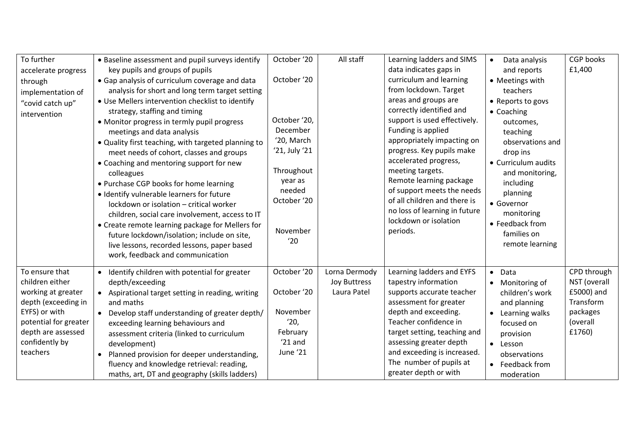| To further<br>accelerate progress<br>through<br>implementation of<br>"covid catch up"<br>intervention                                                                        | • Baseline assessment and pupil surveys identify<br>key pupils and groups of pupils<br>• Gap analysis of curriculum coverage and data<br>analysis for short and long term target setting<br>• Use Mellers intervention checklist to identify<br>strategy, staffing and timing<br>• Monitor progress in termly pupil progress<br>meetings and data analysis<br>• Quality first teaching, with targeted planning to<br>meet needs of cohort, classes and groups<br>• Coaching and mentoring support for new<br>colleagues<br>• Purchase CGP books for home learning<br>· Identify vulnerable learners for future<br>lockdown or isolation - critical worker<br>children, social care involvement, access to IT<br>• Create remote learning package for Mellers for<br>future lockdown/isolation; include on site,<br>live lessons, recorded lessons, paper based | October '20<br>October '20<br>October '20,<br>December<br>'20, March<br>'21, July '21<br>Throughout<br>year as<br>needed<br>October '20<br>November<br>'20 | All staff                                           | Learning ladders and SIMS<br>data indicates gaps in<br>curriculum and learning<br>from lockdown. Target<br>areas and groups are<br>correctly identified and<br>support is used effectively.<br>Funding is applied<br>appropriately impacting on<br>progress. Key pupils make<br>accelerated progress,<br>meeting targets.<br>Remote learning package<br>of support meets the needs<br>of all children and there is<br>no loss of learning in future<br>lockdown or isolation<br>periods. | Data analysis<br>$\bullet$<br>and reports<br>• Meetings with<br>teachers<br>• Reports to govs<br>• Coaching<br>outcomes,<br>teaching<br>observations and<br>drop ins<br>• Curriculum audits<br>and monitoring,<br>including<br>planning<br>• Governor<br>monitoring<br>• Feedback from<br>families on<br>remote learning | <b>CGP</b> books<br>£1,400                                                               |
|------------------------------------------------------------------------------------------------------------------------------------------------------------------------------|----------------------------------------------------------------------------------------------------------------------------------------------------------------------------------------------------------------------------------------------------------------------------------------------------------------------------------------------------------------------------------------------------------------------------------------------------------------------------------------------------------------------------------------------------------------------------------------------------------------------------------------------------------------------------------------------------------------------------------------------------------------------------------------------------------------------------------------------------------------|------------------------------------------------------------------------------------------------------------------------------------------------------------|-----------------------------------------------------|------------------------------------------------------------------------------------------------------------------------------------------------------------------------------------------------------------------------------------------------------------------------------------------------------------------------------------------------------------------------------------------------------------------------------------------------------------------------------------------|--------------------------------------------------------------------------------------------------------------------------------------------------------------------------------------------------------------------------------------------------------------------------------------------------------------------------|------------------------------------------------------------------------------------------|
| To ensure that<br>children either<br>working at greater<br>depth (exceeding in<br>EYFS) or with<br>potential for greater<br>depth are assessed<br>confidently by<br>teachers | work, feedback and communication<br>• Identify children with potential for greater<br>depth/exceeding<br>• Aspirational target setting in reading, writing<br>and maths<br>• Develop staff understanding of greater depth/<br>exceeding learning behaviours and<br>assessment criteria (linked to curriculum<br>development)<br>Planned provision for deeper understanding,<br>$\bullet$<br>fluency and knowledge retrieval: reading,<br>maths, art, DT and geography (skills ladders)                                                                                                                                                                                                                                                                                                                                                                         | October '20<br>October '20<br>November<br>'20,<br>February<br>$'21$ and<br>June '21                                                                        | Lorna Dermody<br><b>Joy Buttress</b><br>Laura Patel | Learning ladders and EYFS<br>tapestry information<br>supports accurate teacher<br>assessment for greater<br>depth and exceeding.<br>Teacher confidence in<br>target setting, teaching and<br>assessing greater depth<br>and exceeding is increased.<br>The number of pupils at<br>greater depth or with                                                                                                                                                                                  | $\bullet$ Data<br>• Monitoring of<br>children's work<br>and planning<br>• Learning walks<br>focused on<br>provision<br>• Lesson<br>observations<br>• Feedback from<br>moderation                                                                                                                                         | CPD through<br>NST (overall<br>£5000) and<br>Transform<br>packages<br>(overall<br>£1760) |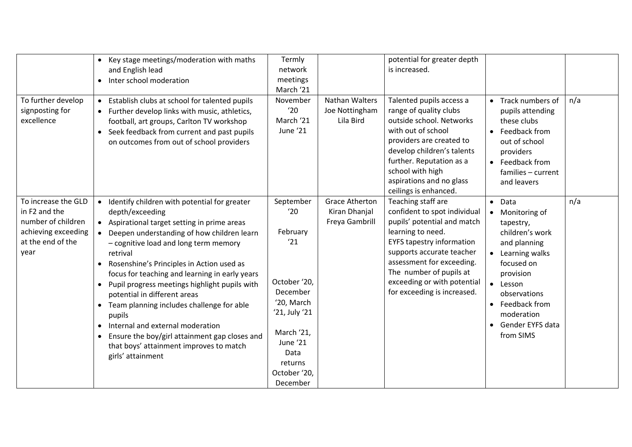|                     | • Key stage meetings/moderation with maths                 | Termly        |                | potential for greater depth      |                    |     |
|---------------------|------------------------------------------------------------|---------------|----------------|----------------------------------|--------------------|-----|
|                     | and English lead                                           | network       |                | is increased.                    |                    |     |
|                     | Inter school moderation<br>$\bullet$                       | meetings      |                |                                  |                    |     |
|                     |                                                            | March '21     |                |                                  |                    |     |
| To further develop  | Establish clubs at school for talented pupils<br>$\bullet$ | November      | Nathan Walters | Talented pupils access a         | • Track numbers of | n/a |
| signposting for     | • Further develop links with music, athletics,             | '20           | Joe Nottingham | range of quality clubs           | pupils attending   |     |
| excellence          | football, art groups, Carlton TV workshop                  | March '21     | Lila Bird      | outside school. Networks         | these clubs        |     |
|                     | Seek feedback from current and past pupils<br>$\bullet$    | June '21      |                | with out of school               | • Feedback from    |     |
|                     | on outcomes from out of school providers                   |               |                | providers are created to         | out of school      |     |
|                     |                                                            |               |                | develop children's talents       | providers          |     |
|                     |                                                            |               |                | further. Reputation as a         | • Feedback from    |     |
|                     |                                                            |               |                | school with high                 | families - current |     |
|                     |                                                            |               |                | aspirations and no glass         | and leavers        |     |
|                     |                                                            |               |                | ceilings is enhanced.            |                    |     |
| To increase the GLD | • Identify children with potential for greater             | September     | Grace Atherton | Teaching staff are               | $\bullet$ Data     | n/a |
| in F2 and the       | depth/exceeding                                            | '20           | Kiran Dhanjal  | confident to spot individual     | • Monitoring of    |     |
| number of children  | • Aspirational target setting in prime areas               |               | Freya Gambrill | pupils' potential and match      | tapestry,          |     |
| achieving exceeding | Deepen understanding of how children learn<br>$\bullet$    | February      |                | learning to need.                | children's work    |     |
| at the end of the   | - cognitive load and long term memory                      | '21           |                | <b>EYFS tapestry information</b> | and planning       |     |
| year                | retrival                                                   |               |                | supports accurate teacher        | • Learning walks   |     |
|                     | Rosenshine's Principles in Action used as                  |               |                | assessment for exceeding.        | focused on         |     |
|                     | focus for teaching and learning in early years             |               |                | The number of pupils at          | provision          |     |
|                     | Pupil progress meetings highlight pupils with<br>$\bullet$ | October '20,  |                | exceeding or with potential      | • Lesson           |     |
|                     | potential in different areas                               | December      |                | for exceeding is increased.      | observations       |     |
|                     | Team planning includes challenge for able                  | '20, March    |                |                                  | • Feedback from    |     |
|                     | pupils                                                     | '21, July '21 |                |                                  | moderation         |     |
|                     | Internal and external moderation<br>$\bullet$              |               |                |                                  | Gender EYFS data   |     |
|                     | Ensure the boy/girl attainment gap closes and              | March '21,    |                |                                  | from SIMS          |     |
|                     | that boys' attainment improves to match                    | June '21      |                |                                  |                    |     |
|                     | girls' attainment                                          | Data          |                |                                  |                    |     |
|                     |                                                            | returns       |                |                                  |                    |     |
|                     |                                                            | October '20,  |                |                                  |                    |     |
|                     |                                                            | December      |                |                                  |                    |     |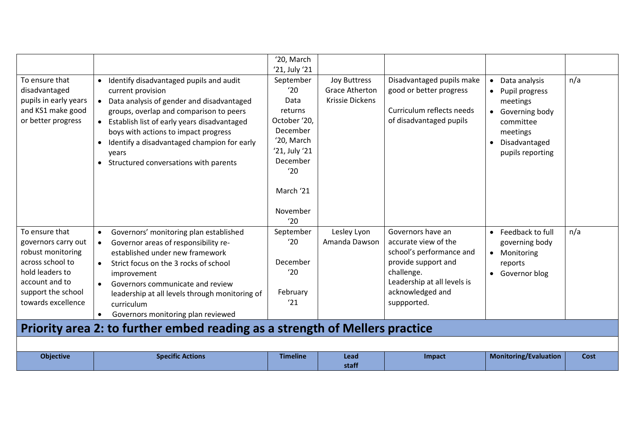|                                                                                                                                                                 |                                                                                                                                                                                                                                                                                                                                                                                                                                                                     | '20, March<br>'21, July '21                                                                                                                       |                                                                        |                                                                                                                                                                              |                                                                                                                                                       |      |
|-----------------------------------------------------------------------------------------------------------------------------------------------------------------|---------------------------------------------------------------------------------------------------------------------------------------------------------------------------------------------------------------------------------------------------------------------------------------------------------------------------------------------------------------------------------------------------------------------------------------------------------------------|---------------------------------------------------------------------------------------------------------------------------------------------------|------------------------------------------------------------------------|------------------------------------------------------------------------------------------------------------------------------------------------------------------------------|-------------------------------------------------------------------------------------------------------------------------------------------------------|------|
| To ensure that<br>disadvantaged<br>pupils in early years<br>and KS1 make good<br>or better progress                                                             | Identify disadvantaged pupils and audit<br>$\bullet$<br>current provision<br>Data analysis of gender and disadvantaged<br>groups, overlap and comparison to peers<br>Establish list of early years disadvantaged<br>$\bullet$<br>boys with actions to impact progress<br>Identify a disadvantaged champion for early<br>$\bullet$<br>years<br>• Structured conversations with parents                                                                               | September<br>'20<br>Data<br>returns<br>October '20,<br>December<br>'20, March<br>'21, July '21<br>December<br>'20<br>March '21<br>November<br>'20 | <b>Joy Buttress</b><br><b>Grace Atherton</b><br><b>Krissie Dickens</b> | Disadvantaged pupils make<br>good or better progress<br>Curriculum reflects needs<br>of disadvantaged pupils                                                                 | Data analysis<br>$\bullet$<br>Pupil progress<br>meetings<br>Governing body<br>$\bullet$<br>committee<br>meetings<br>Disadvantaged<br>pupils reporting | n/a  |
| To ensure that<br>governors carry out<br>robust monitoring<br>across school to<br>hold leaders to<br>account and to<br>support the school<br>towards excellence | Governors' monitoring plan established<br>$\bullet$<br>Governor areas of responsibility re-<br>$\bullet$<br>established under new framework<br>Strict focus on the 3 rocks of school<br>$\bullet$<br>improvement<br>Governors communicate and review<br>$\bullet$<br>leadership at all levels through monitoring of<br>curriculum<br>Governors monitoring plan reviewed<br>$\bullet$<br>Priority area 2: to further embed reading as a strength of Mellers practice | September<br>'20<br>December<br>'20<br>February<br>'21                                                                                            | Lesley Lyon<br>Amanda Dawson                                           | Governors have an<br>accurate view of the<br>school's performance and<br>provide support and<br>challenge.<br>Leadership at all levels is<br>acknowledged and<br>suppported. | Feedback to full<br>$\bullet$<br>governing body<br>Monitoring<br>$\bullet$<br>reports<br>Governor blog<br>$\bullet$                                   | n/a  |
|                                                                                                                                                                 |                                                                                                                                                                                                                                                                                                                                                                                                                                                                     |                                                                                                                                                   |                                                                        |                                                                                                                                                                              |                                                                                                                                                       |      |
| <b>Objective</b>                                                                                                                                                | <b>Specific Actions</b>                                                                                                                                                                                                                                                                                                                                                                                                                                             | <b>Timeline</b>                                                                                                                                   | Lead<br>staff                                                          | Impact                                                                                                                                                                       | <b>Monitoring/Evaluation</b>                                                                                                                          | Cost |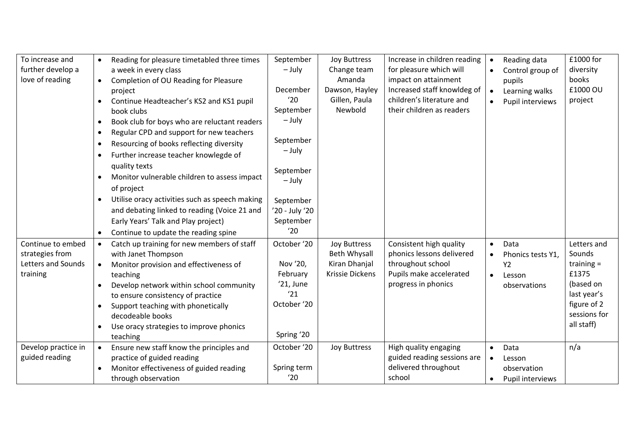| To increase and<br>further develop a<br>love of reading                | $\bullet$<br>$\bullet$<br>$\bullet$<br>$\bullet$<br>$\bullet$<br>$\bullet$<br>$\bullet$<br>$\bullet$ | Reading for pleasure timetabled three times<br>a week in every class<br>Completion of OU Reading for Pleasure<br>project<br>Continue Headteacher's KS2 and KS1 pupil<br>book clubs<br>Book club for boys who are reluctant readers<br>Regular CPD and support for new teachers<br>Resourcing of books reflecting diversity<br>Further increase teacher knowlegde of<br>quality texts<br>Monitor vulnerable children to assess impact<br>of project<br>Utilise oracy activities such as speech making<br>and debating linked to reading (Voice 21 and<br>Early Years' Talk and Play project)<br>Continue to update the reading spine | September<br>– July<br>December<br>'20<br>September<br>$-$ July<br>September<br>$-$ July<br>September<br>$-$ July<br>September<br>'20 - July '20<br>September<br>'20 | <b>Joy Buttress</b><br>Change team<br>Amanda<br>Dawson, Hayley<br>Gillen, Paula<br>Newbold | Increase in children reading<br>for pleasure which will<br>impact on attainment<br>Increased staff knowldeg of<br>children's literature and<br>their children as readers | $\bullet$<br>$\bullet$              | Reading data<br>Control group of<br>pupils<br>Learning walks<br>Pupil interviews | £1000 for<br>diversity<br>books<br>£1000 OU<br>project                                                                  |
|------------------------------------------------------------------------|------------------------------------------------------------------------------------------------------|-------------------------------------------------------------------------------------------------------------------------------------------------------------------------------------------------------------------------------------------------------------------------------------------------------------------------------------------------------------------------------------------------------------------------------------------------------------------------------------------------------------------------------------------------------------------------------------------------------------------------------------|----------------------------------------------------------------------------------------------------------------------------------------------------------------------|--------------------------------------------------------------------------------------------|--------------------------------------------------------------------------------------------------------------------------------------------------------------------------|-------------------------------------|----------------------------------------------------------------------------------|-------------------------------------------------------------------------------------------------------------------------|
| Continue to embed<br>strategies from<br>Letters and Sounds<br>training | $\bullet$<br>$\bullet$<br>$\bullet$<br>$\bullet$                                                     | Catch up training for new members of staff<br>with Janet Thompson<br>Monitor provision and effectiveness of<br>teaching<br>Develop network within school community<br>to ensure consistency of practice<br>Support teaching with phonetically<br>decodeable books<br>Use oracy strategies to improve phonics<br>teaching                                                                                                                                                                                                                                                                                                            | October '20<br>Nov '20,<br>February<br>'21, June<br>'21<br>October '20<br>Spring '20                                                                                 | Joy Buttress<br>Beth Whysall<br>Kiran Dhanjal<br><b>Krissie Dickens</b>                    | Consistent high quality<br>phonics lessons delivered<br>throughout school<br>Pupils make accelerated<br>progress in phonics                                              | $\bullet$<br>$\bullet$<br>$\bullet$ | Data<br>Phonics tests Y1,<br>Y2<br>Lesson<br>observations                        | Letters and<br>Sounds<br>training $=$<br>£1375<br>(based on<br>last year's<br>figure of 2<br>sessions for<br>all staff) |
| Develop practice in<br>guided reading                                  | $\bullet$<br>$\bullet$                                                                               | Ensure new staff know the principles and<br>practice of guided reading<br>Monitor effectiveness of guided reading<br>through observation                                                                                                                                                                                                                                                                                                                                                                                                                                                                                            | October '20<br>Spring term<br>'20                                                                                                                                    | <b>Joy Buttress</b>                                                                        | High quality engaging<br>guided reading sessions are<br>delivered throughout<br>school                                                                                   | $\bullet$<br>$\bullet$<br>$\bullet$ | Data<br>Lesson<br>observation<br>Pupil interviews                                | n/a                                                                                                                     |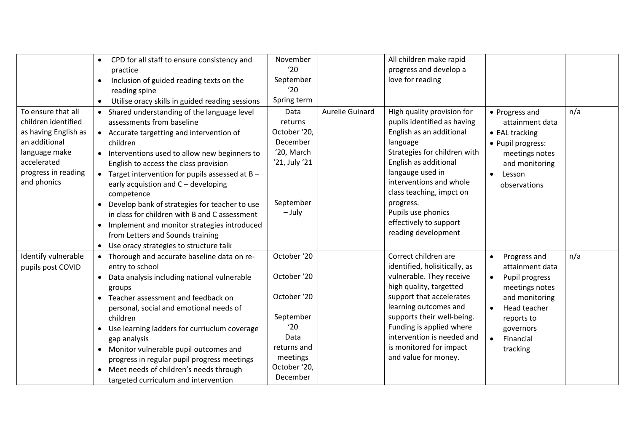|                                                                                                                                                          | CPD for all staff to ensure consistency and<br>$\bullet$                                                                                                                                                                                                                                                                                                                                                                                                                                                                    | November                                                                                                      |                 | All children make rapid                                                                                                                                                                                                                                                                                                   |                                                                                                                                                                     |     |
|----------------------------------------------------------------------------------------------------------------------------------------------------------|-----------------------------------------------------------------------------------------------------------------------------------------------------------------------------------------------------------------------------------------------------------------------------------------------------------------------------------------------------------------------------------------------------------------------------------------------------------------------------------------------------------------------------|---------------------------------------------------------------------------------------------------------------|-----------------|---------------------------------------------------------------------------------------------------------------------------------------------------------------------------------------------------------------------------------------------------------------------------------------------------------------------------|---------------------------------------------------------------------------------------------------------------------------------------------------------------------|-----|
|                                                                                                                                                          | practice                                                                                                                                                                                                                                                                                                                                                                                                                                                                                                                    | '20                                                                                                           |                 | progress and develop a                                                                                                                                                                                                                                                                                                    |                                                                                                                                                                     |     |
|                                                                                                                                                          | Inclusion of guided reading texts on the<br>$\bullet$                                                                                                                                                                                                                                                                                                                                                                                                                                                                       | September                                                                                                     |                 | love for reading                                                                                                                                                                                                                                                                                                          |                                                                                                                                                                     |     |
|                                                                                                                                                          | reading spine                                                                                                                                                                                                                                                                                                                                                                                                                                                                                                               | '20                                                                                                           |                 |                                                                                                                                                                                                                                                                                                                           |                                                                                                                                                                     |     |
|                                                                                                                                                          | Utilise oracy skills in guided reading sessions<br>$\bullet$                                                                                                                                                                                                                                                                                                                                                                                                                                                                | Spring term                                                                                                   |                 |                                                                                                                                                                                                                                                                                                                           |                                                                                                                                                                     |     |
| To ensure that all<br>children identified<br>as having English as<br>an additional<br>language make<br>accelerated<br>progress in reading<br>and phonics | • Shared understanding of the language level<br>assessments from baseline<br>• Accurate targetting and intervention of<br>children<br>• Interventions used to allow new beginners to<br>English to access the class provision<br>Target intervention for pupils assessed at B -<br>early acquistion and C - developing<br>competence<br>Develop bank of strategies for teacher to use<br>in class for children with B and C assessment<br>• Implement and monitor strategies introduced<br>from Letters and Sounds training | Data<br>returns<br>October '20,<br>December<br>'20, March<br>'21, July '21<br>September<br>$-$ July           | Aurelie Guinard | High quality provision for<br>pupils identified as having<br>English as an additional<br>language<br>Strategies for children with<br>English as additional<br>langauge used in<br>interventions and whole<br>class teaching, impct on<br>progress.<br>Pupils use phonics<br>effectively to support<br>reading development | • Progress and<br>attainment data<br>• EAL tracking<br>• Pupil progress:<br>meetings notes<br>and monitoring<br>Lesson<br>$\bullet$<br>observations                 | n/a |
| Identify vulnerable                                                                                                                                      | • Use oracy strategies to structure talk<br>Thorough and accurate baseline data on re-                                                                                                                                                                                                                                                                                                                                                                                                                                      | October '20                                                                                                   |                 | Correct children are                                                                                                                                                                                                                                                                                                      | Progress and<br>$\bullet$                                                                                                                                           | n/a |
| pupils post COVID                                                                                                                                        | entry to school<br>Data analysis including national vulnerable<br>groups<br>Teacher assessment and feedback on<br>personal, social and emotional needs of<br>children<br>Use learning ladders for curriuclum coverage<br>gap analysis<br>• Monitor vulnerable pupil outcomes and<br>progress in regular pupil progress meetings<br>Meet needs of children's needs through<br>targeted curriculum and intervention                                                                                                           | October '20<br>October '20<br>September<br>'20<br>Data<br>returns and<br>meetings<br>October '20,<br>December |                 | identified, holisitically, as<br>vulnerable. They receive<br>high quality, targetted<br>support that accelerates<br>learning outcomes and<br>supports their well-being.<br>Funding is applied where<br>intervention is needed and<br>is monitored for impact<br>and value for money.                                      | attainment data<br>Pupil progress<br>$\bullet$<br>meetings notes<br>and monitoring<br>Head teacher<br>reports to<br>governors<br>$\bullet$<br>Financial<br>tracking |     |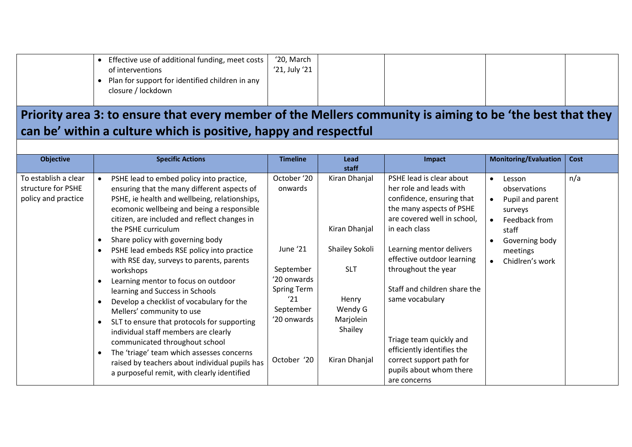|  | Effective use of additional funding, meet costs  <br>of interventions | '20, March<br>'21, July '21 |  |  |
|--|-----------------------------------------------------------------------|-----------------------------|--|--|
|  | Plan for support for identified children in any<br>closure / lockdown |                             |  |  |

## Priority area 3: to ensure that every member of the Mellers community is aiming to be 'the best that they **can be' within a culture which is positive, happy and respectful**

|                                                                                                                                                                                                                                                                                                                                                                                                                                                                                                                                                                                                                                                                                                                                                                                                                                                                                                                                                                                                                                                                                                                                                                                                                                                                                                                                                                                                                                                                                                                                                                                                                                                                                                                                                                          | <b>Objective</b>     |
|--------------------------------------------------------------------------------------------------------------------------------------------------------------------------------------------------------------------------------------------------------------------------------------------------------------------------------------------------------------------------------------------------------------------------------------------------------------------------------------------------------------------------------------------------------------------------------------------------------------------------------------------------------------------------------------------------------------------------------------------------------------------------------------------------------------------------------------------------------------------------------------------------------------------------------------------------------------------------------------------------------------------------------------------------------------------------------------------------------------------------------------------------------------------------------------------------------------------------------------------------------------------------------------------------------------------------------------------------------------------------------------------------------------------------------------------------------------------------------------------------------------------------------------------------------------------------------------------------------------------------------------------------------------------------------------------------------------------------------------------------------------------------|----------------------|
| PSHE lead is clear about<br>n/a<br>PSHE lead to embed policy into practice,<br>October '20<br>Kiran Dhanjal<br>Lesson<br>$\bullet$<br>$\bullet$<br>structure for PSHE<br>her role and leads with<br>ensuring that the many different aspects of<br>onwards<br>observations<br>policy and practice<br>confidence, ensuring that<br>PSHE, ie health and wellbeing, relationships,<br>Pupil and parent<br>$\bullet$<br>the many aspects of PSHE<br>ecomonic wellbeing and being a responsible<br>surveys<br>are covered well in school,<br>citizen, are included and reflect changes in<br>Feedback from<br>Kiran Dhanjal<br>in each class<br>the PSHE curriculum<br>staff<br>Share policy with governing body<br>Governing body<br>June '21<br>Shailey Sokoli<br>Learning mentor delivers<br>PSHE lead embeds RSE policy into practice<br>meetings<br>effective outdoor learning<br>with RSE day, surveys to parents, parents<br>Chidlren's work<br><b>SLT</b><br>throughout the year<br>September<br>workshops<br>'20 onwards<br>Learning mentor to focus on outdoor<br>Staff and children share the<br>Spring Term<br>learning and Success in Schools<br>'21<br>Henry<br>same vocabulary<br>Develop a checklist of vocabulary for the<br>September<br>Wendy G<br>Mellers' community to use<br>'20 onwards<br>Marjolein<br>SLT to ensure that protocols for supporting<br>Shailey<br>individual staff members are clearly<br>Triage team quickly and<br>communicated throughout school<br>efficiently identifies the<br>The 'triage' team which assesses concerns<br>October '20<br>correct support path for<br>Kiran Dhanjal<br>raised by teachers about individual pupils has<br>pupils about whom there<br>a purposeful remit, with clearly identified<br>are concerns | To establish a clear |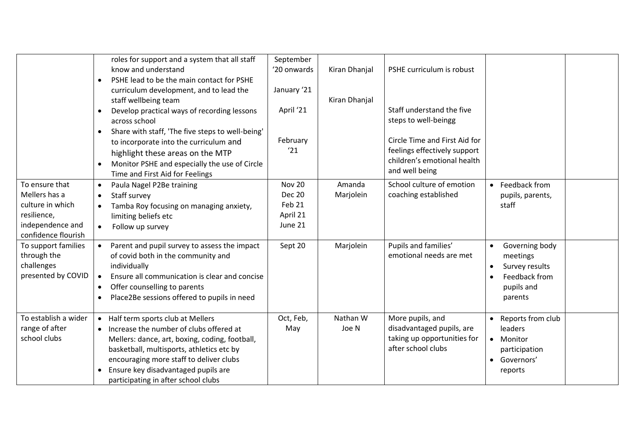|                                                                                                               | $\bullet$<br>$\bullet$                           | roles for support and a system that all staff<br>know and understand<br>PSHE lead to be the main contact for PSHE<br>curriculum development, and to lead the<br>staff wellbeing team<br>Develop practical ways of recording lessons                                                                   | September<br>'20 onwards<br>January '21<br>April '21            | Kiran Dhanjal<br>Kiran Dhanjal | PSHE curriculum is robust<br>Staff understand the five                                                                                 |                                                                                                     |  |
|---------------------------------------------------------------------------------------------------------------|--------------------------------------------------|-------------------------------------------------------------------------------------------------------------------------------------------------------------------------------------------------------------------------------------------------------------------------------------------------------|-----------------------------------------------------------------|--------------------------------|----------------------------------------------------------------------------------------------------------------------------------------|-----------------------------------------------------------------------------------------------------|--|
|                                                                                                               | $\bullet$<br>$\bullet$                           | across school<br>Share with staff, 'The five steps to well-being'<br>to incorporate into the curriculum and<br>highlight these areas on the MTP<br>Monitor PSHE and especially the use of Circle<br>Time and First Aid for Feelings                                                                   | February<br>'21                                                 |                                | steps to well-beingg<br>Circle Time and First Aid for<br>feelings effectively support<br>children's emotional health<br>and well being |                                                                                                     |  |
| To ensure that<br>Mellers has a<br>culture in which<br>resilience,<br>independence and<br>confidence flourish | $\bullet$<br>$\bullet$<br>$\bullet$<br>$\bullet$ | Paula Nagel P2Be training<br>Staff survey<br>Tamba Roy focusing on managing anxiety,<br>limiting beliefs etc<br>Follow up survey                                                                                                                                                                      | <b>Nov 20</b><br><b>Dec 20</b><br>Feb 21<br>April 21<br>June 21 | Amanda<br>Marjolein            | School culture of emotion<br>coaching established                                                                                      | • Feedback from<br>pupils, parents,<br>staff                                                        |  |
| To support families<br>through the<br>challenges<br>presented by COVID                                        | $\bullet$<br>$\bullet$<br>$\bullet$              | Parent and pupil survey to assess the impact<br>of covid both in the community and<br>individually<br>Ensure all communication is clear and concise<br>Offer counselling to parents<br>Place2Be sessions offered to pupils in need                                                                    | Sept 20                                                         | Marjolein                      | Pupils and families'<br>emotional needs are met                                                                                        | Governing body<br>$\bullet$<br>meetings<br>Survey results<br>Feedback from<br>pupils and<br>parents |  |
| To establish a wider<br>range of after<br>school clubs                                                        | $\bullet$                                        | Half term sports club at Mellers<br>• Increase the number of clubs offered at<br>Mellers: dance, art, boxing, coding, football,<br>basketball, multisports, athletics etc by<br>encouraging more staff to deliver clubs<br>Ensure key disadvantaged pupils are<br>participating in after school clubs | Oct, Feb,<br>May                                                | Nathan W<br>Joe N              | More pupils, and<br>disadvantaged pupils, are<br>taking up opportunities for<br>after school clubs                                     | • Reports from club<br>leaders<br>• Monitor<br>participation<br>• Governors'<br>reports             |  |